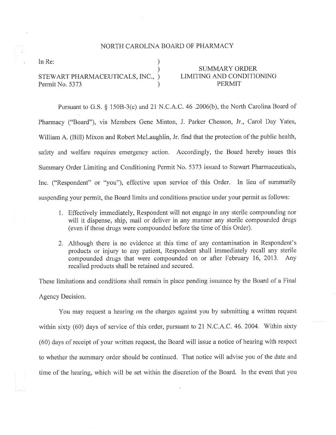## NORTH CAROLINA BOARD OF PHARMACY

) ) ) )

In Re:

STEV/ART PHARMACEUTICALS, INC., Permit No. 5373

## SUMMARY ORDER LIMITING AND CONDITIONING PERMIT

Pursuant to G.S. \$ 1508-3(c) and 21 N.C.A.C. 46 .2006(b), the North Carolina Board of Pharmacy ("Board"), vis Members Gene Minton, J. Parker Chesson, Jr., Carol Day Yates, William A. (Bill) Mixon and Robert McLaughlin, Jr. find that the protection of the public health, safety and welfare requires emergency action. Accordingly, the Board hereby issues this Summary Order Limiting and Conditioning Permit No. 5373 issued to Stewart Pharmaceuticals, Inc. ("Respondent" or "you"), effective upon service of this Order. In lieu of summarily suspending your permit, the Board limits and conditions practice under your permit as follows:

- 1. Effectively immediately, Respondent will not engage in any sterile compounding nor will it dispense, ship, mail or deliver in any manner any sterile compounded drugs (even if those drugs were compounded before the time of this Order).
- 2. Although there is no evidence at this time of any contamination in Respondent's products or injury to any patient, Respondent shall immediately recall any sterile compounded drugs that were compounded on or after February 16,2013. Any recalled products shall be retained and secured.

These limitations and conditions shall remain in place pending issuance by the Board of a Final Agency Decision.

You may request a hearing on the charges against you by submitting a written request within sixty (60) days of service of this order, pursuant to 21 N.C.A.C. 46. 2004. Within sixty (60) days of receipt of your written request, the Board will issue a notice of hearing with respect to whether the summary order should be continued, That notice will advise you of the date and time of the hearing, which will be set within the discretion of the Board. In the event that you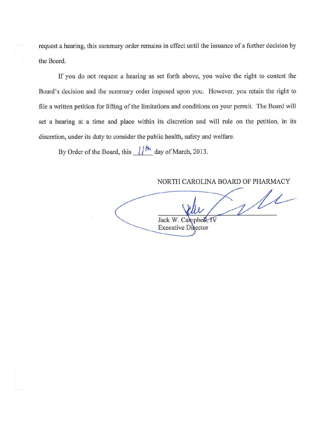request a hearing, this summary order remains in effect until the issuance of a further decision by the Board.

If you do not request a hearing as set forth above, you waive the right to contest the Board's decision and the summary order imposed upon you. However, you retain the right to file a written petition for lifting of the limitations and conditions on your permit. The Board will set a hearing at a time and place within its discretion and will rule on the petition, in its discretion, under its duty to consider the public health, safety and welfare.

By Order of the Board, this  $\frac{1}{\hbar}$  day of March, 2013.

NORTH CAROLINA BOARD OF PHARMACY

VIL Jack W. Can **Executive Director**